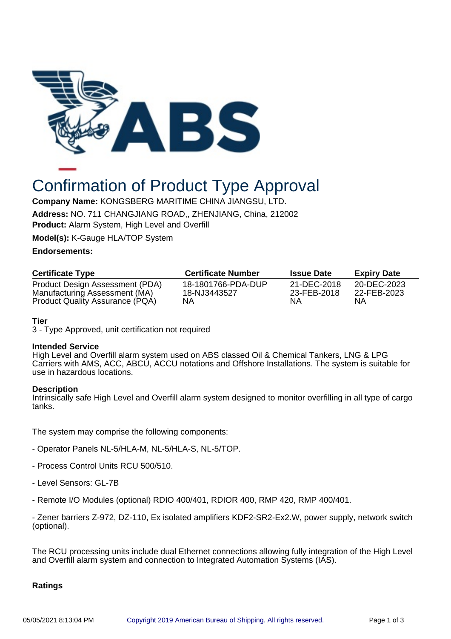

# Confirmation of Product Type Approval

**Company Name:** KONGSBERG MARITIME CHINA JIANGSU, LTD. **Address:** NO. 711 CHANGJIANG ROAD,, ZHENJIANG, China, 212002 **Product:** Alarm System, High Level and Overfill

**Model(s):** K-Gauge HLA/TOP System

# **Endorsements:**

| <b>Certificate Type</b>         | <b>Certificate Number</b> | <b>Issue Date</b> | <b>Expiry Date</b> |
|---------------------------------|---------------------------|-------------------|--------------------|
| Product Design Assessment (PDA) | 18-1801766-PDA-DUP        | 21-DEC-2018       | 20-DEC-2023        |
| Manufacturing Assessment (MA)   | 18-NJ3443527              | 23-FEB-2018       | 22-FEB-2023        |
| Product Quality Assurance (PQA) | ΝA                        | ΝA                | ΝA                 |

# **Tier**

3 - Type Approved, unit certification not required

#### **Intended Service**

High Level and Overfill alarm system used on ABS classed Oil & Chemical Tankers, LNG & LPG Carriers with AMS, ACC, ABCU, ACCU notations and Offshore Installations. The system is suitable for use in hazardous locations.

#### **Description**

Intrinsically safe High Level and Overfill alarm system designed to monitor overfilling in all type of cargo tanks.

The system may comprise the following components:

- Operator Panels NL-5/HLA-M, NL-5/HLA-S, NL-5/TOP.
- Process Control Units RCU 500/510.
- Level Sensors: GL-7B
- Remote I/O Modules (optional) RDIO 400/401, RDIOR 400, RMP 420, RMP 400/401.

- Zener barriers Z-972, DZ-110, Ex isolated amplifiers KDF2-SR2-Ex2.W, power supply, network switch (optional).

The RCU processing units include dual Ethernet connections allowing fully integration of the High Level and Overfill alarm system and connection to Integrated Automation Systems (IAS).

# **Ratings**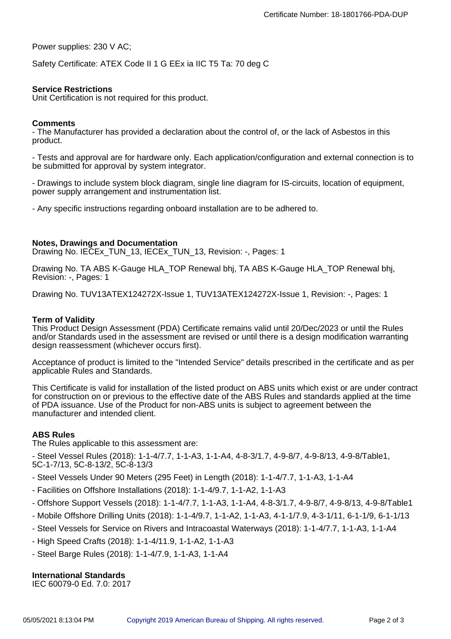Power supplies: 230 V AC;

Safety Certificate: ATEX Code II 1 G EEx ia IIC T5 Ta: 70 deg C

# **Service Restrictions**

Unit Certification is not required for this product.

#### **Comments**

- The Manufacturer has provided a declaration about the control of, or the lack of Asbestos in this product.

- Tests and approval are for hardware only. Each application/configuration and external connection is to be submitted for approval by system integrator.

- Drawings to include system block diagram, single line diagram for IS-circuits, location of equipment, power supply arrangement and instrumentation list.

- Any specific instructions regarding onboard installation are to be adhered to.

#### **Notes, Drawings and Documentation**

Drawing No. IECEx\_TUN\_13, IECEx\_TUN\_13, Revision: -, Pages: 1

Drawing No. TA ABS K-Gauge HLA\_TOP Renewal bhj, TA ABS K-Gauge HLA\_TOP Renewal bhj, Revision: -, Pages: 1

Drawing No. TUV13ATEX124272X-Issue 1, TUV13ATEX124272X-Issue 1, Revision: -, Pages: 1

#### **Term of Validity**

This Product Design Assessment (PDA) Certificate remains valid until 20/Dec/2023 or until the Rules and/or Standards used in the assessment are revised or until there is a design modification warranting design reassessment (whichever occurs first).

Acceptance of product is limited to the "Intended Service" details prescribed in the certificate and as per applicable Rules and Standards.

This Certificate is valid for installation of the listed product on ABS units which exist or are under contract for construction on or previous to the effective date of the ABS Rules and standards applied at the time of PDA issuance. Use of the Product for non-ABS units is subject to agreement between the manufacturer and intended client.

# **ABS Rules**

The Rules applicable to this assessment are:

- Steel Vessel Rules (2018): 1-1-4/7.7, 1-1-A3, 1-1-A4, 4-8-3/1.7, 4-9-8/7, 4-9-8/13, 4-9-8/Table1, 5C-1-7/13, 5C-8-13/2, 5C-8-13/3

- Steel Vessels Under 90 Meters (295 Feet) in Length (2018): 1-1-4/7.7, 1-1-A3, 1-1-A4
- Facilities on Offshore Installations (2018): 1-1-4/9.7, 1-1-A2, 1-1-A3
- Offshore Support Vessels (2018): 1-1-4/7.7, 1-1-A3, 1-1-A4, 4-8-3/1.7, 4-9-8/7, 4-9-8/13, 4-9-8/Table1
- Mobile Offshore Drilling Units (2018): 1-1-4/9.7, 1-1-A2, 1-1-A3, 4-1-1/7.9, 4-3-1/11, 6-1-1/9, 6-1-1/13
- Steel Vessels for Service on Rivers and Intracoastal Waterways (2018): 1-1-4/7.7, 1-1-A3, 1-1-A4
- High Speed Crafts (2018): 1-1-4/11.9, 1-1-A2, 1-1-A3
- Steel Barge Rules (2018): 1-1-4/7.9, 1-1-A3, 1-1-A4

# **International Standards**

IEC 60079-0 Ed. 7.0: 2017